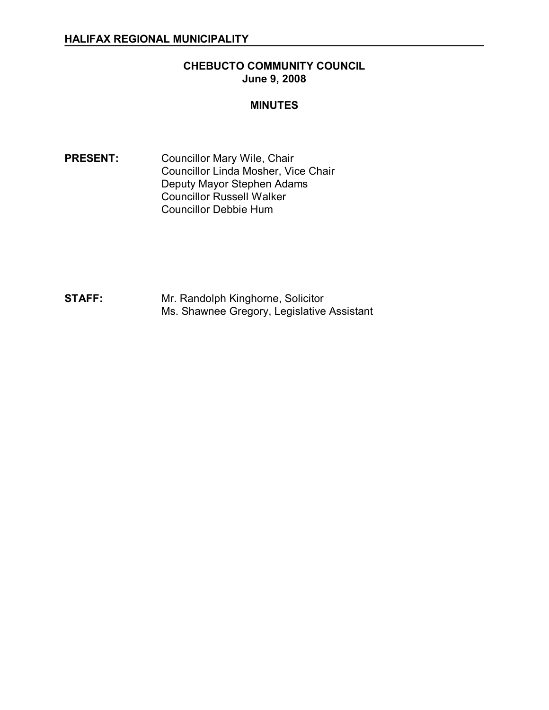## **CHEBUCTO COMMUNITY COUNCIL June 9, 2008**

#### **MINUTES**

PRESENT: Councillor Mary Wile, Chair Councillor Linda Mosher, Vice Chair Deputy Mayor Stephen Adams Councillor Russell Walker Councillor Debbie Hum

**STAFF:** Mr. Randolph Kinghorne, Solicitor Ms. Shawnee Gregory, Legislative Assistant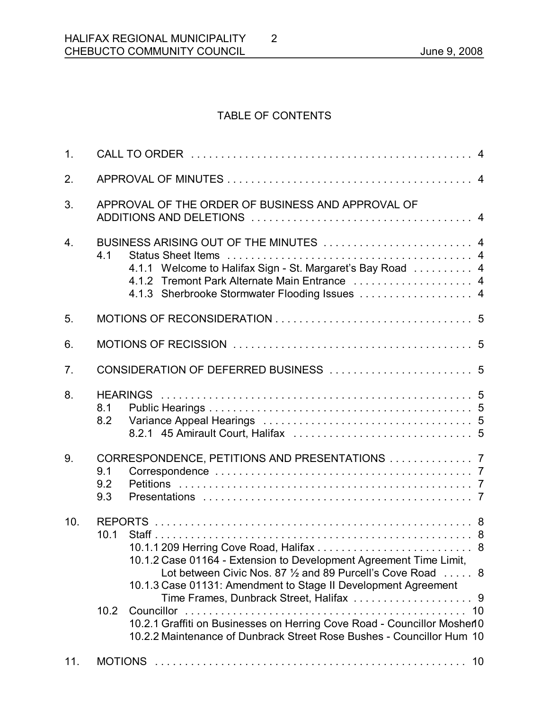# TABLE OF CONTENTS

2

| 1.               |                                                                                                                                                                                                                |
|------------------|----------------------------------------------------------------------------------------------------------------------------------------------------------------------------------------------------------------|
| 2.               |                                                                                                                                                                                                                |
| 3.               | APPROVAL OF THE ORDER OF BUSINESS AND APPROVAL OF                                                                                                                                                              |
| $\overline{4}$ . | BUSINESS ARISING OUT OF THE MINUTES  4<br>4.1<br>4.1.1 Welcome to Halifax Sign - St. Margaret's Bay Road  4<br>4.1.2 Tremont Park Alternate Main Entrance  4<br>4.1.3 Sherbrooke Stormwater Flooding Issues  4 |
| 5.               |                                                                                                                                                                                                                |
| 6.               |                                                                                                                                                                                                                |
| 7.               |                                                                                                                                                                                                                |
| 8.               | 8.1<br>8.2                                                                                                                                                                                                     |
| 9.               | CORRESPONDENCE, PETITIONS AND PRESENTATIONS  7<br>9.1<br>9.2<br>9.3                                                                                                                                            |
| 10.              | 10.1<br>10.1.2 Case 01164 - Extension to Development Agreement Time Limit,<br>Lot between Civic Nos. 87 1/2 and 89 Purcell's Cove Road  8<br>10.1.3 Case 01131: Amendment to Stage II Development Agreement    |
|                  | 10.2<br>10.2.1 Graffiti on Businesses on Herring Cove Road - Councillor Mosher10<br>10.2.2 Maintenance of Dunbrack Street Rose Bushes - Councillor Hum 10                                                      |
| 11.              |                                                                                                                                                                                                                |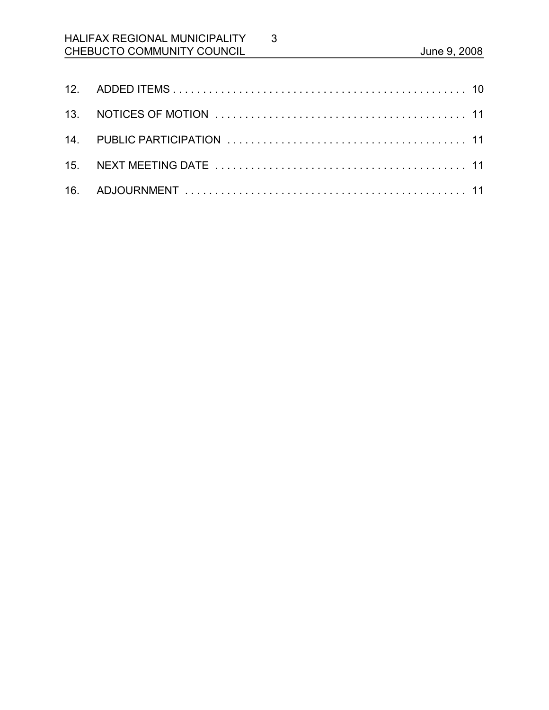# HALIFAX REGIONAL MUNICIPALITY CHEBUCTO COMMUNITY COUNCIL **CHEBUCTO** COMMUNITY COUNCIL

3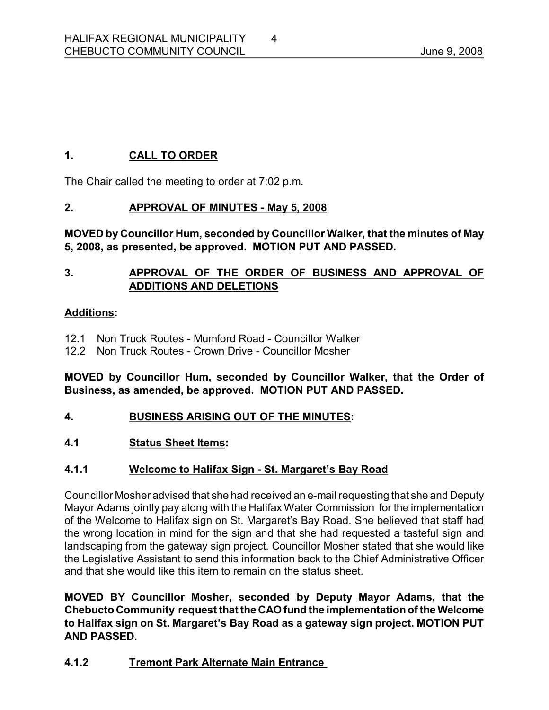# **1. CALL TO ORDER**

The Chair called the meeting to order at 7:02 p.m.

# **2. APPROVAL OF MINUTES May 5, 2008**

**MOVED by Councillor Hum, seconded by Councillor Walker, that the minutes of May 5, 2008, as presented, be approved. MOTION PUT AND PASSED.** 

# **3. APPROVAL OF THE ORDER OF BUSINESS AND APPROVAL OF ADDITIONS AND DELETIONS**

#### **Additions:**

- 12.1 Non Truck Routes Mumford Road Councillor Walker
- 12.2 Non Truck Routes Crown Drive Councillor Mosher

**MOVED by Councillor Hum, seconded by Councillor Walker, that the Order of Business, as amended, be approved. MOTION PUT AND PASSED.** 

- **4. BUSINESS ARISING OUT OF THE MINUTES:**
- **4.1 Status Sheet Items:**

# **4.1.1 Welcome to Halifax Sign - St. Margaret's Bay Road**

Councillor Mosher advised that she had received an e-mail requesting that she and Deputy Mayor Adams jointly pay along with the Halifax Water Commission for the implementation of the Welcome to Halifax sign on St. Margaret's Bay Road. She believed that staff had the wrong location in mind for the sign and that she had requested a tasteful sign and landscaping from the gateway sign project. Councillor Mosher stated that she would like the Legislative Assistant to send this information back to the Chief Administrative Officer and that she would like this item to remain on the status sheet.

**MOVED BY Councillor Mosher, seconded by Deputy Mayor Adams, that the Chebucto Community request that the CAO fund the implementationof the Welcome to Halifax sign on St. Margaret's Bay Road as a gateway sign project. MOTION PUT AND PASSED.** 

# **4.1.2 Tremont Park Alternate Main Entrance**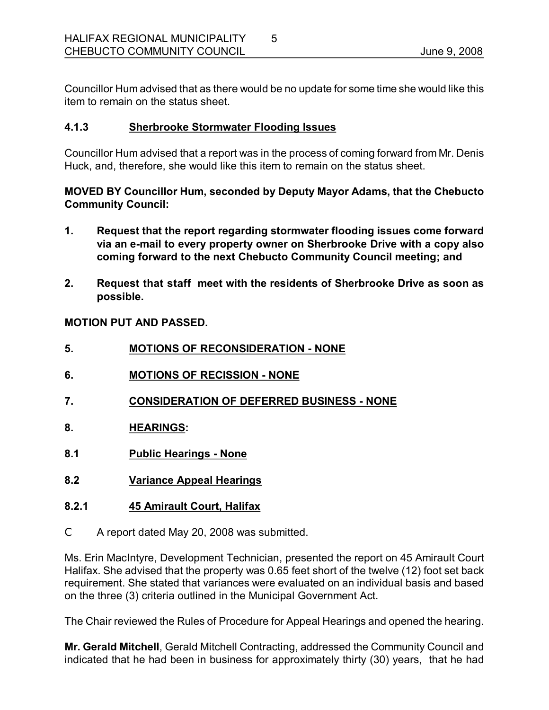Councillor Hum advised that as there would be no update for some time she would like this item to remain on the status sheet.

### **4.1.3 Sherbrooke Stormwater Flooding Issues**

Councillor Hum advised that a report was in the process of coming forward from Mr. Denis Huck, and, therefore, she would like this item to remain on the status sheet.

## **MOVED BY Councillor Hum, seconded by Deputy Mayor Adams, that the Chebucto Community Council:**

- **1. Request that the report regarding stormwater flooding issues come forward via an email to every property owner on Sherbrooke Drive with a copy also coming forward to the next Chebucto Community Council meeting; and**
- **2. Request that staff meet with the residents of Sherbrooke Drive as soon as possible.**

**MOTION PUT AND PASSED.** 

- **5. MOTIONS OF RECONSIDERATION NONE**
- **6. MOTIONS OF RECISSION NONE**
- **7. CONSIDERATION OF DEFERRED BUSINESS NONE**
- **8. HEARINGS:**
- **8.1 Public Hearings None**
- **8.2 Variance Appeal Hearings**
- **8.2.1 45 Amirault Court, Halifax**
- C A report dated May 20, 2008 was submitted.

Ms. Erin MacIntyre, Development Technician, presented the report on 45 Amirault Court Halifax. She advised that the property was 0.65 feet short of the twelve (12) foot set back requirement. She stated that variances were evaluated on an individual basis and based on the three (3) criteria outlined in the Municipal Government Act.

The Chair reviewed the Rules of Procedure for Appeal Hearings and opened the hearing.

**Mr. Gerald Mitchell**, Gerald Mitchell Contracting, addressed the Community Council and indicated that he had been in business for approximately thirty (30) years, that he had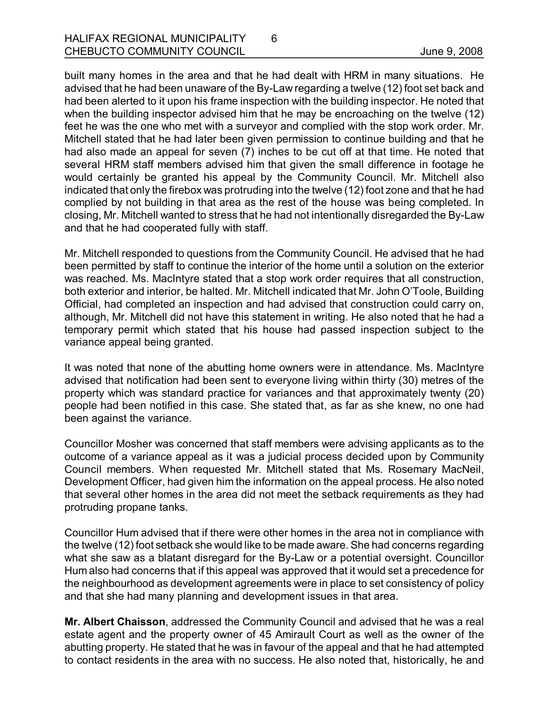built many homes in the area and that he had dealt with HRM in many situations. He advised that he had been unaware of the By-Law regarding a twelve (12) foot set back and had been alerted to it upon his frame inspection with the building inspector. He noted that when the building inspector advised him that he may be encroaching on the twelve (12) feet he was the one who met with a surveyor and complied with the stop work order. Mr. Mitchell stated that he had later been given permission to continue building and that he had also made an appeal for seven (7) inches to be cut off at that time. He noted that several HRM staff members advised him that given the small difference in footage he would certainly be granted his appeal by the Community Council. Mr. Mitchell also indicated that only the firebox was protruding into the twelve (12) foot zone and that he had complied by not building in that area as the rest of the house was being completed. In closing, Mr. Mitchell wanted to stress that he had not intentionally disregarded the By-Law and that he had cooperated fully with staff.

6

Mr. Mitchell responded to questions from the Community Council. He advised that he had been permitted by staff to continue the interior of the home until a solution on the exterior was reached. Ms. MacIntyre stated that a stop work order requires that all construction, both exterior and interior, be halted. Mr. Mitchell indicated that Mr. John O'Toole, Building Official, had completed an inspection and had advised that construction could carry on, although, Mr. Mitchell did not have this statement in writing. He also noted that he had a temporary permit which stated that his house had passed inspection subject to the variance appeal being granted.

It was noted that none of the abutting home owners were in attendance. Ms. MacIntyre advised that notification had been sent to everyone living within thirty (30) metres of the property which was standard practice for variances and that approximately twenty (20) people had been notified in this case. She stated that, as far as she knew, no one had been against the variance.

Councillor Mosher was concerned that staff members were advising applicants as to the outcome of a variance appeal as it was a judicial process decided upon by Community Council members. When requested Mr. Mitchell stated that Ms. Rosemary MacNeil, Development Officer, had given him the information on the appeal process. He also noted that several other homes in the area did not meet the setback requirements as they had protruding propane tanks.

Councillor Hum advised that if there were other homes in the area not in compliance with the twelve (12) foot setback she would like to be made aware. She had concerns regarding what she saw as a blatant disregard for the By-Law or a potential oversight. Councillor Hum also had concerns that if this appeal was approved that it would set a precedence for the neighbourhood as development agreements were in place to set consistency of policy and that she had many planning and development issues in that area.

**Mr. Albert Chaisson**, addressed the Community Council and advised that he was a real estate agent and the property owner of 45 Amirault Court as well as the owner of the abutting property. He stated that he was in favour of the appeal and that he had attempted to contact residents in the area with no success. He also noted that, historically, he and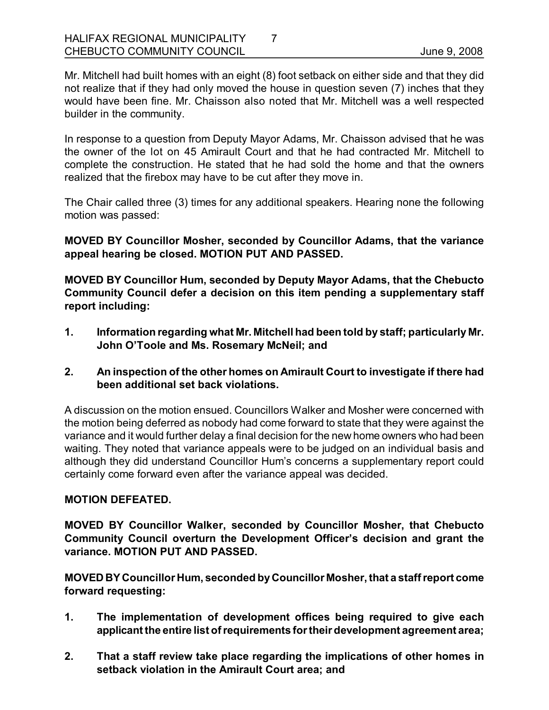Mr. Mitchell had built homes with an eight (8) foot setback on either side and that they did not realize that if they had only moved the house in question seven (7) inches that they would have been fine. Mr. Chaisson also noted that Mr. Mitchell was a well respected builder in the community.

In response to a question from Deputy Mayor Adams, Mr. Chaisson advised that he was the owner of the lot on 45 Amirault Court and that he had contracted Mr. Mitchell to complete the construction. He stated that he had sold the home and that the owners realized that the firebox may have to be cut after they move in.

The Chair called three (3) times for any additional speakers. Hearing none the following motion was passed:

**MOVED BY Councillor Mosher, seconded by Councillor Adams, that the variance appeal hearing be closed. MOTION PUT AND PASSED.** 

**MOVED BY Councillor Hum, seconded by Deputy Mayor Adams, that the Chebucto Community Council defer a decision on this item pending a supplementary staff report including:**

- **1. Information regarding what Mr. Mitchell had been told by staff; particularly Mr. John O'Toole and Ms. Rosemary McNeil; and**
- **2. An inspection of the other homes on Amirault Court to investigate if there had been additional set back violations.**

A discussion on the motion ensued. Councillors Walker and Mosher were concerned with the motion being deferred as nobody had come forward to state that they were against the variance and it would further delay a final decision for the new home owners who had been waiting. They noted that variance appeals were to be judged on an individual basis and although they did understand Councillor Hum's concerns a supplementary report could certainly come forward even after the variance appeal was decided.

### **MOTION DEFEATED.**

**MOVED BY Councillor Walker, seconded by Councillor Mosher, that Chebucto Community Council overturn the Development Officer's decision and grant the variance. MOTION PUT AND PASSED.** 

**MOVED BY Councillor Hum, seconded byCouncillor Mosher, that a staffreport come forward requesting:**

- **1. The implementation of development offices being required to give each applicant the entire list ofrequirements fortheir development agreement area;**
- **2. That a staff review take place regarding the implications of other homes in setback violation in the Amirault Court area; and**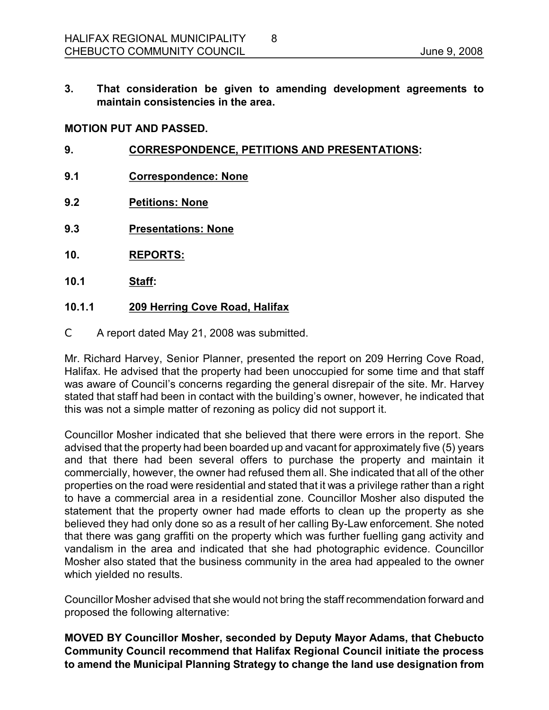**3. That consideration be given to amending development agreements to maintain consistencies in the area.** 

8

#### **MOTION PUT AND PASSED.**

- **9. CORRESPONDENCE, PETITIONS AND PRESENTATIONS:**
- **9.1 Correspondence: None**
- **9.2 Petitions: None**
- **9.3 Presentations: None**
- **10. REPORTS:**
- **10.1 Staff:**

#### **10.1.1 209 Herring Cove Road, Halifax**

C A report dated May 21, 2008 was submitted.

Mr. Richard Harvey, Senior Planner, presented the report on 209 Herring Cove Road, Halifax. He advised that the property had been unoccupied for some time and that staff was aware of Council's concerns regarding the general disrepair of the site. Mr. Harvey stated that staff had been in contact with the building's owner, however, he indicated that this was not a simple matter of rezoning as policy did not support it.

Councillor Mosher indicated that she believed that there were errors in the report. She advised that the property had been boarded up and vacant for approximately five (5) years and that there had been several offers to purchase the property and maintain it commercially, however, the owner had refused them all. She indicated that all of the other properties on the road were residential and stated that it was a privilege rather than a right to have a commercial area in a residential zone. Councillor Mosher also disputed the statement that the property owner had made efforts to clean up the property as she believed they had only done so as a result of her calling By-Law enforcement. She noted that there was gang graffiti on the property which was further fuelling gang activity and vandalism in the area and indicated that she had photographic evidence. Councillor Mosher also stated that the business community in the area had appealed to the owner which yielded no results.

Councillor Mosher advised that she would not bring the staff recommendation forward and proposed the following alternative:

**MOVED BY Councillor Mosher, seconded by Deputy Mayor Adams, that Chebucto Community Council recommend that Halifax Regional Council initiate the process to amend the Municipal Planning Strategy to change the land use designation from**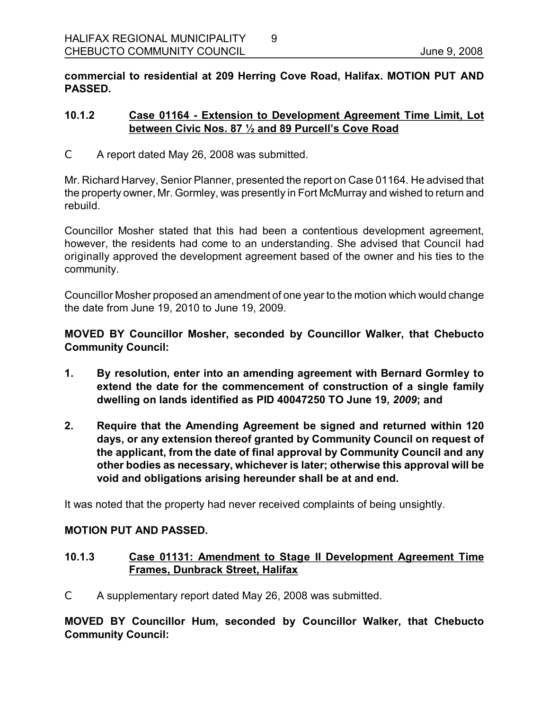**commercial to residential at 209 Herring Cove Road, Halifax. MOTION PUT AND PASSED.** 

9

#### **10.1.2 Case 01164 Extension to Development Agreement Time Limit, Lot between Civic Nos. 87 ½ and 89 Purcell's Cove Road**

C A report dated May 26, 2008 was submitted.

Mr. Richard Harvey, Senior Planner, presented the report on Case 01164. He advised that the property owner, Mr. Gormley, was presently in Fort McMurray and wished to return and rebuild.

Councillor Mosher stated that this had been a contentious development agreement, however, the residents had come to an understanding. She advised that Council had originally approved the development agreement based of the owner and his ties to the community.

Councillor Mosher proposed an amendment of one year to the motion which would change the date from June 19, 2010 to June 19, 2009.

**MOVED BY Councillor Mosher, seconded by Councillor Walker, that Chebucto Community Council:**

- **1. By resolution, enter into an amending agreement with Bernard Gormley to extend the date for the commencement of construction of a single family dwelling on lands identified as PID 40047250 TO June 19,** *2009***; and**
- **2. Require that the Amending Agreement be signed and returned within 120 days, or any extension thereof granted by Community Council on request of the applicant, from the date of final approval by Community Council and any other bodies as necessary, whichever is later; otherwise this approval will be void and obligations arising hereunder shall be at and end.**

It was noted that the property had never received complaints of being unsightly.

#### **MOTION PUT AND PASSED.**

### **10.1.3 Case 01131: Amendment to Stage II Development Agreement Time Frames, Dunbrack Street, Halifax**

C A supplementary report dated May 26, 2008 was submitted.

**MOVED BY Councillor Hum, seconded by Councillor Walker, that Chebucto Community Council:**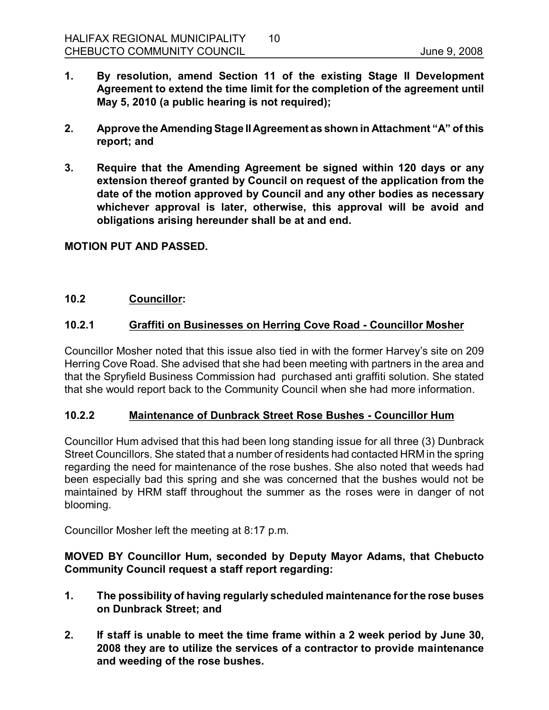- **1. By resolution, amend Section 11 of the existing Stage II Development Agreement to extend the time limit for the completion of the agreement until May 5, 2010 (a public hearing is not required);**
- **2. Approve the Amending Stage IIAgreement as shown in Attachment "A" of this report; and**
- **3. Require that the Amending Agreement be signed within 120 days or any extension thereof granted by Council on request of the application from the date of the motion approved by Council and any other bodies as necessary whichever approval is later, otherwise, this approval will be avoid and obligations arising hereunder shall be at and end.**

**MOTION PUT AND PASSED.** 

### **10.2 Councillor:**

# **10.2.1 Graffiti on Businesses on Herring Cove Road Councillor Mosher**

Councillor Mosher noted that this issue also tied in with the former Harvey's site on 209 Herring Cove Road. She advised that she had been meeting with partners in the area and that the Spryfield Business Commission had purchased anti graffiti solution. She stated that she would report back to the Community Council when she had more information.

#### **10.2.2 Maintenance of Dunbrack Street Rose Bushes Councillor Hum**

Councillor Hum advised that this had been long standing issue for all three (3) Dunbrack Street Councillors. She stated that a number of residents had contacted HRM in the spring regarding the need for maintenance of the rose bushes. She also noted that weeds had been especially bad this spring and she was concerned that the bushes would not be maintained by HRM staff throughout the summer as the roses were in danger of not blooming.

Councillor Mosher left the meeting at 8:17 p.m.

### **MOVED BY Councillor Hum, seconded by Deputy Mayor Adams, that Chebucto Community Council request a staff report regarding:**

- **1. The possibility of having regularly scheduled maintenance forthe rose buses on Dunbrack Street; and**
- **2. If staff is unable to meet the time frame within a 2 week period by June 30, 2008 they are to utilize the services of a contractor to provide maintenance and weeding of the rose bushes.**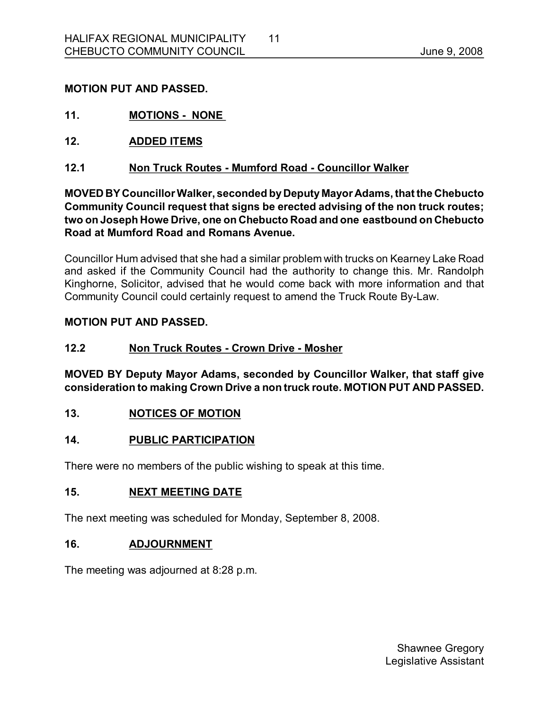### **MOTION PUT AND PASSED.**

- **11. MOTIONS NONE**
- **12. ADDED ITEMS**
- **12.1 Non Truck Routes Mumford Road Councillor Walker**

**MOVED BY CouncillorWalker, seconded byDeputy Mayor Adams, that the Chebucto Community Council request that signs be erected advising of the non truck routes; two on Joseph Howe Drive, one on Chebucto Road and one eastbound on Chebucto Road at Mumford Road and Romans Avenue.**

Councillor Hum advised that she had a similar problem with trucks on Kearney Lake Road and asked if the Community Council had the authority to change this. Mr. Randolph Kinghorne, Solicitor, advised that he would come back with more information and that Community Council could certainly request to amend the Truck Route By-Law.

#### **MOTION PUT AND PASSED.**

#### **12.2 Non Truck Routes Crown Drive Mosher**

**MOVED BY Deputy Mayor Adams, seconded by Councillor Walker, that staff give consideration to making Crown Drive a non truck route. MOTION PUT AND PASSED.** 

**13. NOTICES OF MOTION** 

### **14. PUBLIC PARTICIPATION**

There were no members of the public wishing to speak at this time.

#### **15. NEXT MEETING DATE**

The next meeting was scheduled for Monday, September 8, 2008.

### **16. ADJOURNMENT**

The meeting was adjourned at 8:28 p.m.

Shawnee Gregory Legislative Assistant